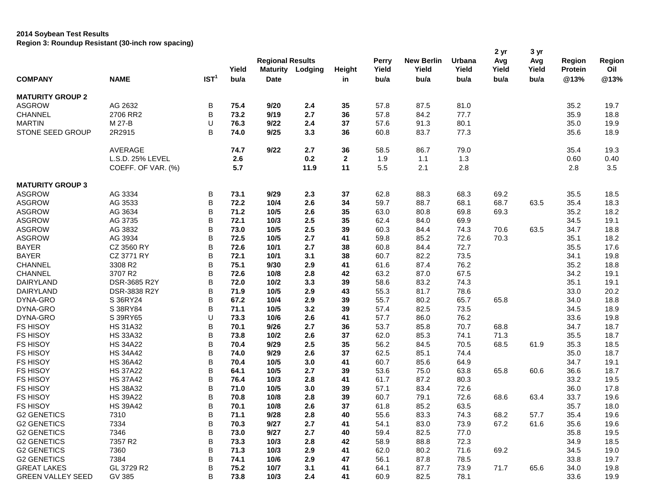## **2014 Soybean Test Results**

**Region 3: Roundup Resistant (30-inch row spacing)**

|                          |                    |                  | Yield | <b>Regional Results</b><br><b>Maturity</b> | Lodging | Height       | <b>Perry</b><br>Yield | <b>New Berlin</b><br>Yield | Urbana<br>Yield | 2 yr<br>Avg<br>Yield | 3 yr<br>Avg<br>Yield | <b>Region</b><br><b>Protein</b> | Region<br>Oil |
|--------------------------|--------------------|------------------|-------|--------------------------------------------|---------|--------------|-----------------------|----------------------------|-----------------|----------------------|----------------------|---------------------------------|---------------|
| <b>COMPANY</b>           | <b>NAME</b>        | IST <sup>1</sup> | bu/a  | <b>Date</b>                                |         | in           | bu/a                  | bu/a                       | bu/a            | bu/a                 | bu/a                 | @13%                            | @13%          |
| <b>MATURITY GROUP 2</b>  |                    |                  |       |                                            |         |              |                       |                            |                 |                      |                      |                                 |               |
| <b>ASGROW</b>            | AG 2632            | В                | 75.4  | 9/20                                       | 2.4     | 35           | 57.8                  | 87.5                       | 81.0            |                      |                      | 35.2                            | 19.7          |
| <b>CHANNEL</b>           | 2706 RR2           | B                | 73.2  | 9/19                                       | 2.7     | 36           | 57.8                  | 84.2                       | 77.7            |                      |                      | 35.9                            | 18.8          |
| <b>MARTIN</b>            | M 27-B             | U                | 76.3  | 9/22                                       | 2.4     | 37           | 57.6                  | 91.3                       | 80.1            |                      |                      | 35.0                            | 19.9          |
| STONE SEED GROUP         | 2R2915             | B                | 74.0  | 9/25                                       | 3.3     | 36           | 60.8                  | 83.7                       | 77.3            |                      |                      | 35.6                            | 18.9          |
|                          | AVERAGE            |                  | 74.7  | 9/22                                       | 2.7     | 36           | 58.5                  | 86.7                       | 79.0            |                      |                      | 35.4                            | 19.3          |
|                          | L.S.D. 25% LEVEL   |                  | 2.6   |                                            | 0.2     | $\mathbf{2}$ | 1.9                   | 1.1                        | 1.3             |                      |                      | 0.60                            | 0.40          |
|                          | COEFF. OF VAR. (%) |                  | 5.7   |                                            | 11.9    | 11           | 5.5                   | 2.1                        | 2.8             |                      |                      | 2.8                             | 3.5           |
| <b>MATURITY GROUP 3</b>  |                    |                  |       |                                            |         |              |                       |                            |                 |                      |                      |                                 |               |
| <b>ASGROW</b>            | AG 3334            | В                | 73.1  | 9/29                                       | 2.3     | 37           | 62.8                  | 88.3                       | 68.3            | 69.2                 |                      | 35.5                            | 18.5          |
| <b>ASGROW</b>            | AG 3533            | B                | 72.2  | 10/4                                       | 2.6     | 34           | 59.7                  | 88.7                       | 68.1            | 68.7                 | 63.5                 | 35.4                            | 18.3          |
| <b>ASGROW</b>            | AG 3634            | В                | 71.2  | 10/5                                       | 2.6     | 35           | 63.0                  | 80.8                       | 69.8            | 69.3                 |                      | 35.2                            | 18.2          |
| <b>ASGROW</b>            | AG 3735            | B                | 72.1  | 10/3                                       | 2.5     | 35           | 62.4                  | 84.0                       | 69.9            |                      |                      | 34.5                            | 19.1          |
| <b>ASGROW</b>            | AG 3832            | B                | 73.0  | 10/5                                       | 2.5     | 39           | 60.3                  | 84.4                       | 74.3            | 70.6                 | 63.5                 | 34.7                            | 18.8          |
| ASGROW                   | AG 3934            | B                | 72.5  | 10/5                                       | 2.7     | 41           | 59.8                  | 85.2                       | 72.6            | 70.3                 |                      | 35.1                            | 18.2          |
| <b>BAYER</b>             | CZ 3560 RY         | B                | 72.6  | 10/1                                       | 2.7     | 38           | 60.8                  | 84.4                       | 72.7            |                      |                      | 35.5                            | 17.6          |
| <b>BAYER</b>             | CZ 3771 RY         | B                | 72.1  | 10/1                                       | 3.1     | 38           | 60.7                  | 82.2                       | 73.5            |                      |                      | 34.1                            | 19.8          |
| CHANNEL                  | 3308 R2            | B                | 75.1  | 9/30                                       | 2.9     | 41           | 61.6                  | 87.4                       | 76.2            |                      |                      | 35.2                            | 18.8          |
| <b>CHANNEL</b>           | 3707 R2            | B                | 72.6  | 10/8                                       | 2.8     | 42           | 63.2                  | 87.0                       | 67.5            |                      |                      | 34.2                            | 19.1          |
| DAIRYLAND                | DSR-3685 R2Y       | B                | 72.0  | 10/2                                       | 3.3     | 39           | 58.6                  | 83.2                       | 74.3            |                      |                      | 35.1                            | 19.1          |
| <b>DAIRYLAND</b>         | DSR-3838 R2Y       | B                | 71.9  | 10/5                                       | 2.9     | 43           | 55.3                  | 81.7                       | 78.6            |                      |                      | 33.0                            | 20.2          |
| DYNA-GRO                 | S 36RY24           | B                | 67.2  | 10/4                                       | 2.9     | 39           | 55.7                  | 80.2                       | 65.7            | 65.8                 |                      | 34.0                            | 18.8          |
| DYNA-GRO                 | S 38RY84           | B                | 71.1  | 10/5                                       | 3.2     | 39           | 57.4                  | 82.5                       | 73.5            |                      |                      | 34.5                            | 18.9          |
| DYNA-GRO                 | S 39RY65           | U                | 73.3  | 10/6                                       | 2.6     | 41           | 57.7                  | 86.0                       | 76.2            |                      |                      | 33.6                            | 19.8          |
| FS HISOY                 | <b>HS 31A32</b>    | B                | 70.1  | 9/26                                       | 2.7     | 36           | 53.7                  | 85.8                       | 70.7            | 68.8                 |                      | 34.7                            | 18.7          |
| <b>FS HISOY</b>          | <b>HS 33A32</b>    | B                | 73.8  | $10/2$                                     | 2.6     | 37           | 62.0                  | 85.3                       | 74.1            | 71.3                 |                      | 35.5                            | 18.7          |
| <b>FS HISOY</b>          | <b>HS 34A22</b>    | B                | 70.4  | 9/29                                       | 2.5     | 35           | 56.2                  | 84.5                       | 70.5            | 68.5                 | 61.9                 | 35.3                            | 18.5          |
| <b>FS HISOY</b>          | <b>HS 34A42</b>    | B                | 74.0  | 9/29                                       | 2.6     | 37           | 62.5                  | 85.1                       | 74.4            |                      |                      | 35.0                            | 18.7          |
| <b>FS HISOY</b>          | <b>HS 36A42</b>    | B                | 70.4  | 10/5                                       | 3.0     | 41           | 60.7                  | 85.6                       | 64.9            |                      |                      | 34.7                            | 19.1          |
| FS HISOY                 | <b>HS 37A22</b>    | B                | 64.1  | 10/5                                       | 2.7     | 39           | 53.6                  | 75.0                       | 63.8            | 65.8                 | 60.6                 | 36.6                            | 18.7          |
| FS HISOY                 | <b>HS 37A42</b>    | B                | 76.4  | 10/3                                       | 2.8     | 41           | 61.7                  | 87.2                       | 80.3            |                      |                      | 33.2                            | 19.5          |
| FS HISOY                 | <b>HS 38A32</b>    | В                | 71.0  | 10/5                                       | 3.0     | 39           | 57.1                  | 83.4                       | 72.6            |                      |                      | 36.0                            | 17.8          |
| <b>FS HISOY</b>          | <b>HS 39A22</b>    | B                | 70.8  | 10/8                                       | 2.8     | 39           | 60.7                  | 79.1                       | 72.6            | 68.6                 | 63.4                 | 33.7                            | 19.6          |
| <b>FS HISOY</b>          | <b>HS 39A42</b>    | B                | 70.1  | 10/8                                       | 2.6     | 37           | 61.8                  | 85.2                       | 63.5            |                      |                      | 35.7                            | 18.0          |
| <b>G2 GENETICS</b>       | 7310               | $\sf B$          | 71.1  | 9/28                                       | 2.8     | 40           | 55.6                  | 83.3                       | 74.3            | 68.2                 | 57.7                 | 35.4                            | 19.6          |
| <b>G2 GENETICS</b>       | 7334               | B                | 70.3  | 9/27                                       | 2.7     | 41           | 54.1                  | 83.0                       | 73.9            | 67.2                 | 61.6                 | 35.6                            | 19.6          |
| <b>G2 GENETICS</b>       | 7346               | B                | 73.0  | 9/27                                       | 2.7     | 40           | 59.4                  | 82.5                       | 77.0            |                      |                      | 35.8                            | 19.5          |
| <b>G2 GENETICS</b>       | 7357 R2            | B                | 73.3  | 10/3                                       | 2.8     | 42           | 58.9                  | 88.8                       | 72.3            |                      |                      | 34.9                            | 18.5          |
| <b>G2 GENETICS</b>       | 7360               | B                | 71.3  | 10/3                                       | 2.9     | 41           | 62.0                  | 80.2                       | 71.6            | 69.2                 |                      | 34.5                            | 19.0          |
| <b>G2 GENETICS</b>       | 7384               | B                | 74.1  | 10/6                                       | 2.9     | 47           | 56.1                  | 87.8                       | 78.5            |                      |                      | 33.8                            | 19.7          |
| <b>GREAT LAKES</b>       | GL 3729 R2         | B                | 75.2  | 10/7                                       | 3.1     | 41           | 64.1                  | 87.7                       | 73.9            | 71.7                 | 65.6                 | 34.0                            | 19.8          |
| <b>GREEN VALLEY SEED</b> | GV 385             | B                | 73.8  | 10/3                                       | $2.4$   | 41           | 60.9                  | 82.5                       | 78.1            |                      |                      | 33.6                            | 19.9          |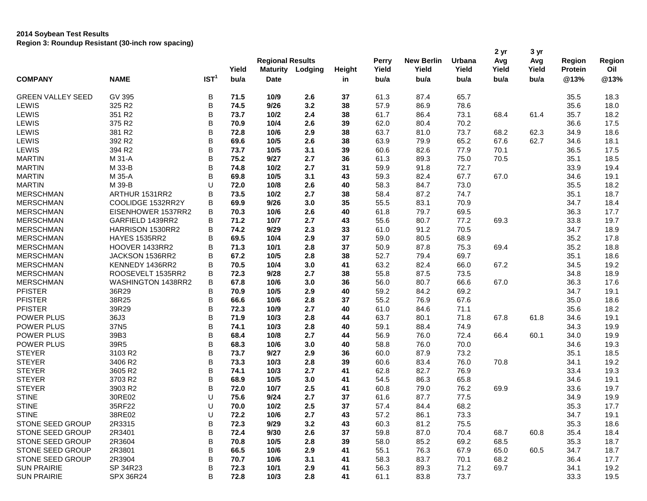## **2014 Soybean Test Results Region 3: Roundup Resistant (30-inch row spacing)**

|                          |                      |                  | Yield | <b>Regional Results</b><br><b>Maturity</b> | Lodging | Height | <b>Perry</b><br>Yield | <b>New Berlin</b><br>Yield | Urbana<br>Yield | 2 yr<br>Avg<br>Yield | 3 yr<br>Avg<br>Yield | Region<br><b>Protein</b> | Region<br>Oil |
|--------------------------|----------------------|------------------|-------|--------------------------------------------|---------|--------|-----------------------|----------------------------|-----------------|----------------------|----------------------|--------------------------|---------------|
| <b>COMPANY</b>           | <b>NAME</b>          | IST <sup>1</sup> | bu/a  | <b>Date</b>                                |         | in     | bu/a                  | bu/a                       | bu/a            | bu/a                 | bu/a                 | @13%                     | @13%          |
| <b>GREEN VALLEY SEED</b> | GV 395               | В                | 71.5  | 10/9                                       | 2.6     | 37     | 61.3                  | 87.4                       | 65.7            |                      |                      | 35.5                     | 18.3          |
| LEWIS                    | 325 R2               | B                | 74.5  | 9/26                                       | 3.2     | 38     | 57.9                  | 86.9                       | 78.6            |                      |                      | 35.6                     | 18.0          |
| LEWIS                    | 351 R2               | B                | 73.7  | 10/2                                       | 2.4     | 38     | 61.7                  | 86.4                       | 73.1            | 68.4                 | 61.4                 | 35.7                     | 18.2          |
| LEWIS                    | 375 R2               | B                | 70.9  | 10/4                                       | 2.6     | 39     | 62.0                  | 80.4                       | 70.2            |                      |                      | 36.6                     | 17.5          |
| LEWIS                    | 381 R2               | B                | 72.8  | 10/6                                       | 2.9     | 38     | 63.7                  | 81.0                       | 73.7            | 68.2                 | 62.3                 | 34.9                     | 18.6          |
| LEWIS                    | 392 R2               | B                | 69.6  | 10/5                                       | 2.6     | 38     | 63.9                  | 79.9                       | 65.2            | 67.6                 | 62.7                 | 34.6                     | 18.1          |
| LEWIS                    | 394 R2               | B                | 73.7  | 10/5                                       | 3.1     | 39     | 60.6                  | 82.6                       | 77.9            | 70.1                 |                      | 36.5                     | 17.5          |
| <b>MARTIN</b>            | M 31-A               | B                | 75.2  | 9/27                                       | 2.7     | 36     | 61.3                  | 89.3                       | 75.0            | 70.5                 |                      | 35.1                     | 18.5          |
| <b>MARTIN</b>            | M 33-B               | B                | 74.8  | 10/2                                       | 2.7     | 31     | 59.9                  | 91.8                       | 72.7            |                      |                      | 33.9                     | 19.4          |
| <b>MARTIN</b>            | M 35-A               | B                | 69.8  | 10/5                                       | 3.1     | 43     | 59.3                  | 82.4                       | 67.7            | 67.0                 |                      | 34.6                     | 19.1          |
| <b>MARTIN</b>            | M 39-B               | U                | 72.0  | 10/8                                       | 2.6     | 40     | 58.3                  | 84.7                       | 73.0            |                      |                      | 35.5                     | 18.2          |
| <b>MERSCHMAN</b>         | ARTHUR 1531RR2       | B                | 73.5  | 10/2                                       | 2.7     | 38     | 58.4                  | 87.2                       | 74.7            |                      |                      | 35.1                     | 18.7          |
| <b>MERSCHMAN</b>         | COOLIDGE 1532RR2Y    | B                | 69.9  | 9/26                                       | 3.0     | 35     | 55.5                  | 83.1                       | 70.9            |                      |                      | 34.7                     | 18.4          |
| <b>MERSCHMAN</b>         | EISENHOWER 1537RR2   | В                | 70.3  | 10/6                                       | 2.6     | 40     | 61.8                  | 79.7                       | 69.5            |                      |                      | 36.3                     | 17.7          |
| <b>MERSCHMAN</b>         | GARFIELD 1439RR2     | В                | 71.2  | 10/7                                       | 2.7     | 43     | 55.6                  | 80.7                       | 77.2            | 69.3                 |                      | 33.8                     | 19.7          |
| <b>MERSCHMAN</b>         | HARRISON 1530RR2     | B                | 74.2  | 9/29                                       | 2.3     | 33     | 61.0                  | 91.2                       | 70.5            |                      |                      | 34.7                     | 18.9          |
| <b>MERSCHMAN</b>         | <b>HAYES 1535RR2</b> | B                | 69.5  | 10/4                                       | 2.9     | 37     | 59.0                  | 80.5                       | 68.9            |                      |                      | 35.2                     | 17.8          |
| <b>MERSCHMAN</b>         | HOOVER 1433RR2       | B                | 71.3  | 10/1                                       | 2.8     | 37     | 50.9                  | 87.8                       | 75.3            | 69.4                 |                      | 35.2                     | 18.8          |
| <b>MERSCHMAN</b>         | JACKSON 1536RR2      | B                | 67.2  | 10/5                                       | 2.8     | 38     | 52.7                  | 79.4                       | 69.7            |                      |                      | 35.1                     | 18.6          |
| <b>MERSCHMAN</b>         | KENNEDY 1436RR2      | В                | 70.5  | 10/4                                       | 3.0     | 41     | 63.2                  | 82.4                       | 66.0            | 67.2                 |                      | 34.5                     | 19.2          |
| <b>MERSCHMAN</b>         | ROOSEVELT 1535RR2    | B                | 72.3  | 9/28                                       | 2.7     | 38     | 55.8                  | 87.5                       | 73.5            |                      |                      | 34.8                     | 18.9          |
| <b>MERSCHMAN</b>         | WASHINGTON 1438RR2   | В                | 67.8  | 10/6                                       | 3.0     | 36     | 56.0                  | 80.7                       | 66.6            | 67.0                 |                      | 36.3                     | 17.6          |
| <b>PFISTER</b>           | 36R29                | B                | 70.9  | 10/5                                       | 2.9     | 40     | 59.2                  | 84.2                       | 69.2            |                      |                      | 34.7                     | 19.1          |
| <b>PFISTER</b>           | 38R25                | B                | 66.6  | 10/6                                       | 2.8     | 37     | 55.2                  | 76.9                       | 67.6            |                      |                      | 35.0                     | 18.6          |
| <b>PFISTER</b>           | 39R29                | B                | 72.3  | 10/9                                       | 2.7     | 40     | 61.0                  | 84.6                       | 71.1            |                      |                      | 35.6                     | 18.2          |
| POWER PLUS               | 36J3                 | B                | 71.9  | 10/3                                       | 2.8     | 44     | 63.7                  | 80.1                       | 71.8            | 67.8                 | 61.8                 | 34.6                     | 19.1          |
| POWER PLUS               | 37N <sub>5</sub>     | B                | 74.1  | 10/3                                       | 2.8     | 40     | 59.1                  | 88.4                       | 74.9            |                      |                      | 34.3                     | 19.9          |
| POWER PLUS               | 39B3                 | B                | 68.4  | 10/8                                       | 2.7     | 44     | 56.9                  | 76.0                       | 72.4            | 66.4                 | 60.1                 | 34.0                     | 19.9          |
| POWER PLUS               | 39R5                 | B                | 68.3  | 10/6                                       | 3.0     | 40     | 58.8                  | 76.0                       | 70.0            |                      |                      | 34.6                     | 19.3          |
| <b>STEYER</b>            | 3103 R2              | B                | 73.7  | 9/27                                       | 2.9     | 36     | 60.0                  | 87.9                       | 73.2            |                      |                      | 35.1                     | 18.5          |
| <b>STEYER</b>            | 3406 R2              | B                | 73.3  | 10/3                                       | 2.8     | 39     | 60.6                  | 83.4                       | 76.0            | 70.8                 |                      | 34.1                     | 19.2          |
| <b>STEYER</b>            | 3605 R2              | B                | 74.1  | 10/3                                       | 2.7     | 41     | 62.8                  | 82.7                       | 76.9            |                      |                      | 33.4                     | 19.3          |
| <b>STEYER</b>            | 3703 R2              | B                | 68.9  | 10/5                                       | 3.0     | 41     | 54.5                  | 86.3                       | 65.8            |                      |                      | 34.6                     | 19.1          |
| <b>STEYER</b>            | 3903 R2              | B                | 72.0  | 10/7                                       | 2.5     | 41     | 60.8                  | 79.0                       | 76.2            | 69.9                 |                      | 33.6                     | 19.7          |
| <b>STINE</b>             | 30RE02               | U                | 75.6  | 9/24                                       | 2.7     | 37     | 61.6                  | 87.7                       | 77.5            |                      |                      | 34.9                     | 19.9          |
| <b>STINE</b>             | 35RF22               | U                | 70.0  | 10/2                                       | 2.5     | 37     | 57.4                  | 84.4                       | 68.2            |                      |                      | 35.3                     | 17.7          |
| <b>STINE</b>             | 38RE02               | U                | 72.2  | 10/6                                       | 2.7     | 43     | 57.2                  | 86.1                       | 73.3            |                      |                      | 34.7                     | 19.1          |
| STONE SEED GROUP         | 2R3315               | В                | 72.3  | 9/29                                       | 3.2     | 43     | 60.3                  | 81.2                       | 75.5            |                      |                      | 35.3                     | 18.6          |
| STONE SEED GROUP         | 2R3401               | В                | 72.4  | 9/30                                       | 2.6     | 37     | 59.8                  | 87.0                       | 70.4            | 68.7                 | 60.8                 | 35.4                     | 18.4          |
| STONE SEED GROUP         | 2R3604               | В                | 70.8  | 10/5                                       | 2.8     | 39     | 58.0                  | 85.2                       | 69.2            | 68.5                 |                      | 35.3                     | 18.7          |
| STONE SEED GROUP         | 2R3801               | В                | 66.5  | 10/6                                       | 2.9     | 41     | 55.1                  | 76.3                       | 67.9            | 65.0                 | 60.5                 | 34.7                     | 18.7          |
| STONE SEED GROUP         | 2R3904               | В                | 70.7  | 10/6                                       | 3.1     | 41     | 58.3                  | 83.7                       | 70.1            | 68.2                 |                      | 36.4                     | 17.7          |
| <b>SUN PRAIRIE</b>       | SP 34R23             | В                | 72.3  | 10/1                                       | 2.9     | 41     | 56.3                  | 89.3                       | 71.2            | 69.7                 |                      | 34.1                     | 19.2          |
| <b>SUN PRAIRIE</b>       | SPX 36R24            | B                | 72.8  | $10/3$                                     | 2.8     | 41     | 61.1                  | 83.8                       | 73.7            |                      |                      | 33.3                     | 19.5          |